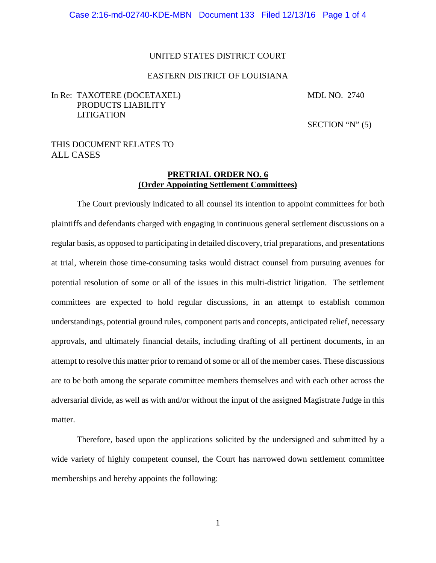#### UNITED STATES DISTRICT COURT

#### EASTERN DISTRICT OF LOUISIANA

### In Re: TAXOTERE (DOCETAXEL) MDL NO. 2740 PRODUCTS LIABILITY LITIGATION

SECTION " $N$ " (5)

### THIS DOCUMENT RELATES TO ALL CASES

#### **PRETRIAL ORDER NO. 6 (Order Appointing Settlement Committees)**

The Court previously indicated to all counsel its intention to appoint committees for both plaintiffs and defendants charged with engaging in continuous general settlement discussions on a regular basis, as opposed to participating in detailed discovery, trial preparations, and presentations at trial, wherein those time-consuming tasks would distract counsel from pursuing avenues for potential resolution of some or all of the issues in this multi-district litigation. The settlement committees are expected to hold regular discussions, in an attempt to establish common understandings, potential ground rules, component parts and concepts, anticipated relief, necessary approvals, and ultimately financial details, including drafting of all pertinent documents, in an attempt to resolve this matter prior to remand of some or all of the member cases. These discussions are to be both among the separate committee members themselves and with each other across the adversarial divide, as well as with and/or without the input of the assigned Magistrate Judge in this matter.

Therefore, based upon the applications solicited by the undersigned and submitted by a wide variety of highly competent counsel, the Court has narrowed down settlement committee memberships and hereby appoints the following: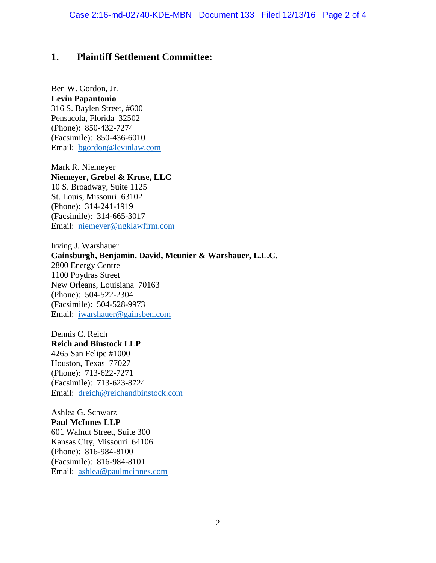# **1. Plaintiff Settlement Committee:**

Ben W. Gordon, Jr. **Levin Papantonio** 316 S. Baylen Street, #600 Pensacola, Florida 32502 (Phone): 850-432-7274 (Facsimile): 850-436-6010 Email: bgordon@levinlaw.com

Mark R. Niemeyer **Niemeyer, Grebel & Kruse, LLC** 10 S. Broadway, Suite 1125 St. Louis, Missouri 63102 (Phone): 314-241-1919 (Facsimile): 314-665-3017 Email: niemeyer@ngklawfirm.com

Irving J. Warshauer **Gainsburgh, Benjamin, David, Meunier & Warshauer, L.L.C.** 2800 Energy Centre 1100 Poydras Street New Orleans, Louisiana 70163 (Phone): 504-522-2304 (Facsimile): 504-528-9973 Email: iwarshauer@gainsben.com

Dennis C. Reich **Reich and Binstock LLP** 4265 San Felipe #1000 Houston, Texas 77027 (Phone): 713-622-7271 (Facsimile): 713-623-8724 Email: dreich@reichandbinstock.com

Ashlea G. Schwarz **Paul McInnes LLP** 601 Walnut Street, Suite 300 Kansas City, Missouri 64106 (Phone): 816-984-8100 (Facsimile): 816-984-8101 Email: ashlea@paulmcinnes.com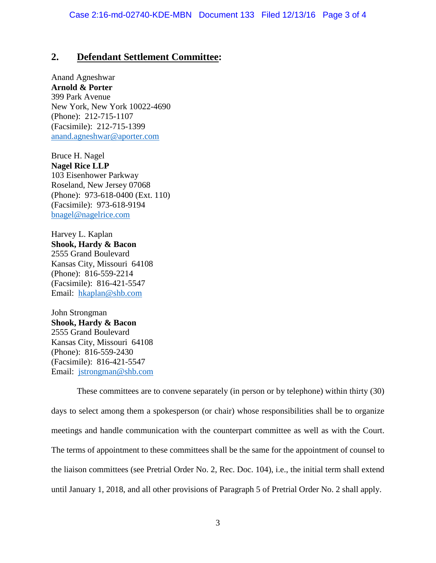# **2. Defendant Settlement Committee:**

Anand Agneshwar **Arnold & Porter** 399 Park Avenue New York, New York 10022-4690 (Phone): 212-715-1107 (Facsimile): 212-715-1399 anand.agneshwar@aporter.com

Bruce H. Nagel **Nagel Rice LLP** 103 Eisenhower Parkway Roseland, New Jersey 07068 (Phone): 973-618-0400 (Ext. 110) (Facsimile): 973-618-9194 bnagel@nagelrice.com

Harvey L. Kaplan **Shook, Hardy & Bacon** 2555 Grand Boulevard Kansas City, Missouri 64108 (Phone): 816-559-2214 (Facsimile): 816-421-5547 Email: hkaplan@shb.com

John Strongman **Shook, Hardy & Bacon** 2555 Grand Boulevard Kansas City, Missouri 64108 (Phone): 816-559-2430 (Facsimile): 816-421-5547 Email: jstrongman@shb.com

These committees are to convene separately (in person or by telephone) within thirty (30) days to select among them a spokesperson (or chair) whose responsibilities shall be to organize meetings and handle communication with the counterpart committee as well as with the Court. The terms of appointment to these committees shall be the same for the appointment of counsel to the liaison committees (see Pretrial Order No. 2, Rec. Doc. 104), i.e., the initial term shall extend until January 1, 2018, and all other provisions of Paragraph 5 of Pretrial Order No. 2 shall apply.